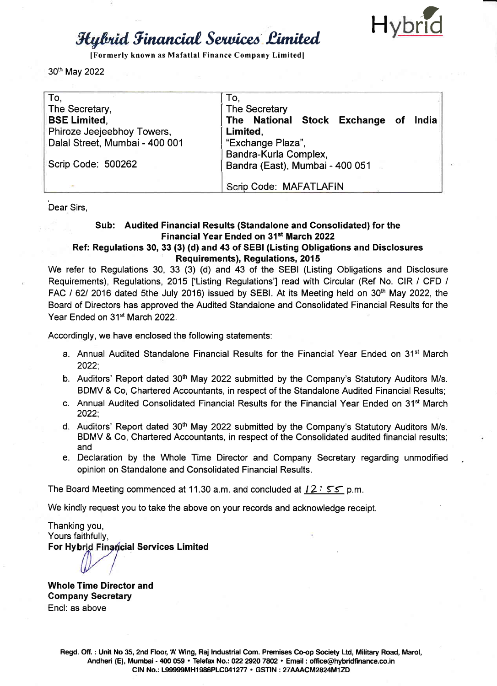

[Formerly known as Mafatlal Finance Company Limited]

30th May 2022

| To,                            | To,                                     |  |  |
|--------------------------------|-----------------------------------------|--|--|
| The Secretary,                 | The Secretary                           |  |  |
| <b>BSE Limited,</b>            | The National Stock Exchange of<br>India |  |  |
| Phiroze Jeejeebhoy Towers,     | Limited,                                |  |  |
| Dalal Street, Mumbai - 400 001 | "Exchange Plaza",                       |  |  |
|                                | Bandra-Kurla Complex,                   |  |  |
| Scrip Code: 500262             | Bandra (East), Mumbai - 400 051         |  |  |
|                                |                                         |  |  |
|                                | Scrip Code: MAFATLAFIN                  |  |  |

Dear Sirs.

## Sub: Audited Financial Results (Standalone and Consolidated) for the Financial Year Ended on 31st March 2022

## Ref: Regulations 30, 33 (3) (d) and 43 of SEBI (Listing Obligations and Disclosures **Requirements), Requiations, 2015**

We refer to Regulations 30, 33 (3) (d) and 43 of the SEBI (Listing Obligations and Disclosure Requirements). Requiations. 2015 ['Listing Requiations'] read with Circular (Ref No. CIR / CFD / FAC / 62/ 2016 dated 5the July 2016) issued by SEBI. At its Meeting held on 30<sup>th</sup> May 2022, the Board of Directors has approved the Audited Standalone and Consolidated Financial Results for the Year Ended on 31<sup>st</sup> March 2022.

Accordingly, we have enclosed the following statements:

- a. Annual Audited Standalone Financial Results for the Financial Year Ended on 31<sup>st</sup> March  $2022:$
- b. Auditors' Report dated 30<sup>th</sup> May 2022 submitted by the Company's Statutory Auditors M/s. BDMV & Co, Chartered Accountants, in respect of the Standalone Audited Financial Results;
- c. Annual Audited Consolidated Financial Results for the Financial Year Ended on 31<sup>st</sup> March 2022:
- d. Auditors' Report dated 30<sup>th</sup> May 2022 submitted by the Company's Statutory Auditors M/s. BDMV & Co, Chartered Accountants, in respect of the Consolidated audited financial results; and
- e. Declaration by the Whole Time Director and Company Secretary regarding unmodified opinion on Standalone and Consolidated Financial Results.

The Board Meeting commenced at 11.30 a.m. and concluded at  $12:55$  p.m.

We kindly request you to take the above on your records and acknowledge receipt.

Thanking you. Yours faithfully, For Hybrid Financial Services Limited

**Whole Time Director and Company Secretary** Encl: as above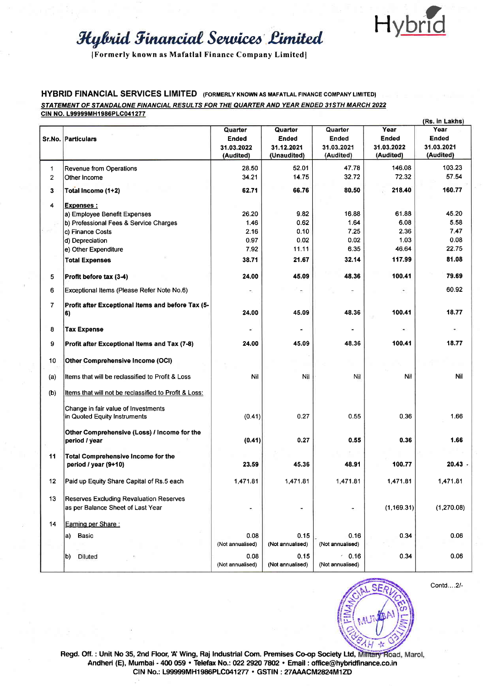

[Formerly known as Mafatlal Finance Company Limited]

### **HYBRID FINANCIAL SERVICES LIMITED** (FORMERLY KNOWN AS MAFATLAL FINANCE COMPANY LIMITED) STATEMENT OF STANDALONE FINANCIAL RESULTS FOR THE QUARTER AND YEAR ENDED 31STH MARCH 2022 CIN NO. L99999MH1986PLC041277

|                |                                                         |                  |                  |                  |              | (Rs. in Lakhs) |
|----------------|---------------------------------------------------------|------------------|------------------|------------------|--------------|----------------|
|                |                                                         | Quarter          | Quarter          | Quarter          | Year         | Year           |
|                | <b>Sr.No. Particulars</b>                               | Ended            | Ended            | Ended            | <b>Ended</b> | Ended          |
|                |                                                         | 31.03.2022       | 31.12.2021       | 31.03.2021       | 31.03.2022   | 31.03.2021     |
|                |                                                         | (Audited)        | (Unaudited)      | (Audited)        | (Audited)    | (Audited)      |
| 1              | Revenue from Operations                                 | 28.50            | 52.01            | 47.78            | 146.08       | 103.23         |
| $\mathbf{2}$   | Other Income                                            | 34.21            | 14.75            | 32.72            | 72.32        | 57.54          |
|                |                                                         |                  |                  |                  |              |                |
| 3 <sup>1</sup> | Total Income (1+2)                                      | 62.71            | 66.76            | 80.50            | 218.40       | 160.77         |
| 4              | <b>Expenses:</b>                                        |                  |                  |                  |              |                |
|                | a) Employee Benefit Expenses                            | 26.20            | 9.82             | 16.88            | 61.88        | 45.20          |
|                | b) Professional Fees & Service Charges                  | 1.46             | 0.62             | 1.64             | 6.08         | 5.58           |
|                | c) Finance Costs                                        | 2.16             | 0.10             | 7.25             | 2.36         | 7.47           |
|                | d) Depreciation                                         | 0.97             | 0.02             | 0.02             | 1.03         | 0.08           |
|                | e) Other Expenditure                                    | 7.92             | 11.11            | 6.35             | 46.64        | 22.75          |
|                | <b>Total Expenses</b>                                   | 38.71            | 21.67            | 32.14            | 117.99       | 81.08          |
| 5              | Profit before tax (3-4)                                 | 24.00            | 45.09            | 48.36            | 100.41       | 79.69          |
| 6              | Exceptional Items (Please Refer Note No.6)              | ۰                |                  |                  |              | 60.92          |
|                |                                                         |                  |                  |                  |              |                |
| $\overline{7}$ | Profit after Exceptional Items and before Tax (5-<br>6) | 24.00            | 45.09            | 48.36            | 100.41       | 18.77          |
|                |                                                         |                  |                  |                  |              |                |
| 8              | <b>Tax Expense</b>                                      |                  |                  |                  |              |                |
| 9              | Profit after Exceptional Items and Tax (7-8)            | 24.00            | 45.09            | 48.36            | 100.41       | 18.77          |
| 10             | Other Comprehensive Income (OCI)                        |                  |                  |                  |              |                |
| (a)            | Items that will be reclassified to Profit & Loss        | Nil              | Nil              | Nil              | Nil          | Nil            |
|                |                                                         |                  |                  |                  |              |                |
| (b)            | Items that will not be reclassified to Profit & Loss:   |                  |                  |                  |              |                |
|                | Change in fair value of Investments                     |                  | 0.27             | 0.55             | 0.36         | 1.66           |
|                | in Quoted Equity Instruments                            | (0.41)           |                  |                  |              |                |
|                | Other Comprehensive (Loss) / Income for the             |                  |                  |                  |              |                |
|                | period / year                                           | (0.41)           | 0.27             | 0.55             | 0.36         | 1.66           |
| 11             | <b>Total Comprehensive Income for the</b>               |                  |                  |                  |              |                |
|                | period / year (9+10)                                    | 23.59            | 45.36            | 48.91            | 100.77       | $20.43 -$      |
| 12             | Paid up Equity Share Capital of Rs.5 each               | 1,471.81         | 1,471.81         | 1,471.81         | 1,471.81     | 1,471.81       |
|                |                                                         |                  |                  |                  |              |                |
| 13             | Reserves Excluding Revaluation Reserves                 |                  |                  |                  |              |                |
|                | as per Balance Sheet of Last Year                       | ۲                | ×                |                  | (1, 169.31)  | (1, 270.08)    |
| 14             | Earning per Share:                                      |                  |                  |                  |              |                |
|                | Basic<br>a)                                             | 0.08             | 0.15             | 0.16             | 0.34         | 0.06           |
|                |                                                         | (Not annualised) | (Not annualised) | (Not annualised) |              |                |
|                | <b>Diluted</b><br>b)                                    | 0.08             | 0.15             | $-0.16$          | 0.34         | 0.06           |
|                |                                                         | (Not annualised) | (Not annualised) | (Not annualised) |              |                |



Contd....2/-

Regd. Off.: Unit No 35, 2nd Floor, 'A' Wing, Raj Industrial Com. Premises Co-op Society Ltd, Military Road, Marol, Andheri (E), Mumbai - 400 059 · Telefax No.: 022 2920 7802 · Email : office@hybridfinance.co.in CIN No.: L99999MH1986PLC041277 · GSTIN : 27AAACM2824M1ZD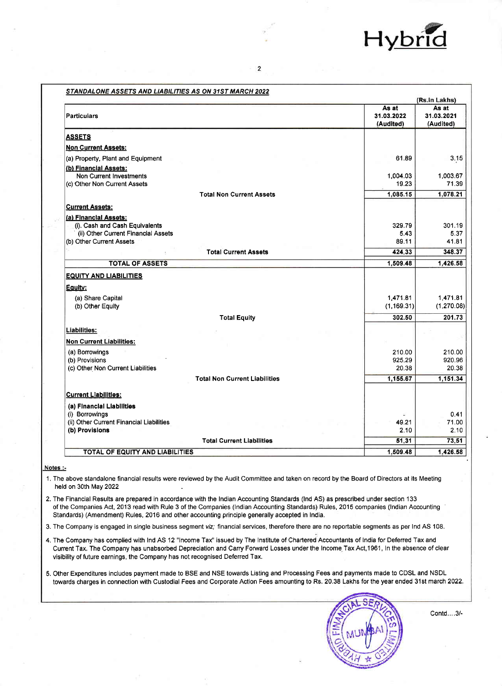

|                                                     |                                  | (Rs.in Lakhs)                    |
|-----------------------------------------------------|----------------------------------|----------------------------------|
| <b>Particulars</b>                                  | As at<br>31.03.2022<br>(Audited) | As at<br>31.03.2021<br>(Audited) |
| <b>ASSETS</b>                                       |                                  |                                  |
| <b>Non Current Assets:</b>                          |                                  |                                  |
| (a) Property, Plant and Equipment                   | 61.89                            | 3.15                             |
| (b) Financial Assets:                               |                                  |                                  |
| <b>Non Current Investments</b>                      | 1,004.03                         | 1,003.67                         |
| (c) Other Non Current Assets                        | 19.23                            | 71.39                            |
| <b>Total Non Current Assets</b>                     | 1,085.15                         | 1,078.21                         |
| <b>Current Assets:</b>                              |                                  |                                  |
| (a) Financial Assets:                               |                                  |                                  |
| (i). Cash and Cash Equivalents                      | 329.79                           | 301.19                           |
| (ii) Other Current Financial Assets                 | 5.43                             | 5.37                             |
| (b) Other Current Assets                            | 89.11                            | 41.81                            |
| <b>Total Current Assets</b>                         | 424.33                           | 348.37                           |
| <b>TOTAL OF ASSETS</b>                              | 1,509.48                         | 1,426.58                         |
| <b>EQUITY AND LIABILITIES</b>                       |                                  |                                  |
| Equity:                                             |                                  |                                  |
| (a) Share Capital                                   | 1,471.81                         | 1,471.81                         |
| (b) Other Equity                                    | (1, 169.31)                      | (1, 270.08)                      |
| <b>Total Equity</b>                                 | 302.50                           | 201.73                           |
| Liabilities:                                        |                                  |                                  |
|                                                     |                                  |                                  |
| <b>Non Current Liabilities:</b>                     |                                  |                                  |
| (a) Borrowings                                      | 210.00                           | 210.00                           |
| (b) Provisions<br>(c) Other Non Current Liabilities | 925.29<br>20.38                  | 920.96<br>20.38                  |
| <b>Total Non Current Liabilities</b>                | 1,155.67                         | 1,151.34                         |
|                                                     |                                  |                                  |
| <b>Current Liabilities:</b>                         |                                  |                                  |
| (a) Financial Liabilities                           |                                  |                                  |
| (i) Borrowings                                      |                                  | 0.41                             |
| (ii) Other Current Financial Liabilities            | 49.21                            | 71.00                            |
| (b) Provisions                                      | 2.10                             | 2.10                             |
| <b>Total Current Liabilities</b>                    | 51.31                            | 73.51                            |
| TOTAL OF EQUITY AND LIABILITIES                     | 1.509.48                         | 1,426.58                         |

 $\overline{2}$ 

STANDALONE ASSETS AND LIADILITIES AS ON 24ST MADCH 2022

Notes:-

1. The above standalone financial results were reviewed by the Audit Committee and taken on record by the Board of Directors at its Meeting held on 30th May 2022

2. The Financial Results are prepared in accordance with the Indian Accounting Standards (Ind AS) as prescribed under section 133 of the Companies Act, 2013 read with Rule 3 of the Companies (Indian Accounting Standards) Rules, 2015 companies (Indian Accounting Standards) (Amendment) Rules, 2016 and other accounting principle generally accepted in India.

3. The Company is engaged in single business segment viz; financial services, therefore there are no reportable segments as per Ind AS 108.

4. The Company has complied with Ind AS 12 "Income Tax" issued by The Institute of Chartered Accountants of India for Deferred Tax and Current Tax. The Company has unabsorbed Depreciation and Carry Forward Losses under the Income Tax Act, 1961, In the absence of clear visibility of future earnings, the Company has not recognised Deferred Tax.

5. Other Expenditures includes payment made to BSE and NSE towards Listing and Processing Fees and payments made to CDSL and NSDL towards charges in connection with Custodial Fees and Corporate Action Fees amounting to Rs. 20.38 Lakhs for the year ended 31st march 2022.



Contd....3/-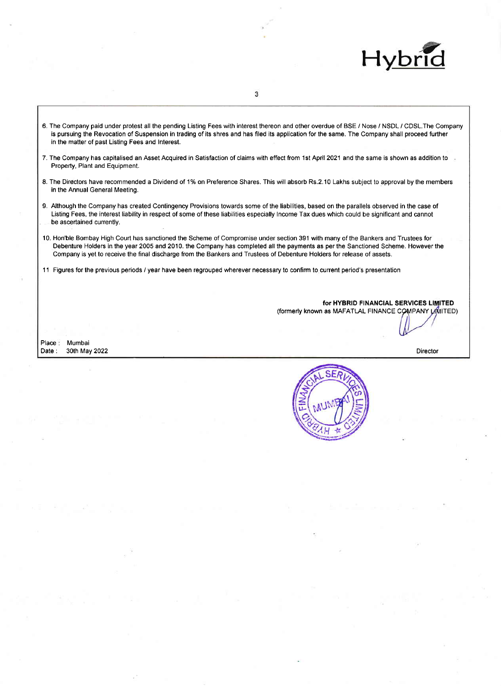

6. The Company paid under protest all the pending Listing Fees with interest thereon and other overdue of BSE / Nose / NSDL / CDSL.The Company is pursuing the Revocation of Suspension in trading of its shres and has filed its applicatlon for the same. The Company shall proceed furlher in the matter of past Listing Fees and lnterest.

3

- 7. The Company has capitalised an Asset Acquired in Satisfaction of claims with effect from 1st April 2021 and the same is shown as addition to Property, Plant and Equipment.
- 8. The Directors have recommended a Dividend of 1% on Preference Shares. This will absorb Rs.2.10 Lakhs subject to approval by the members in the Annual General Meeting.
- 9. Although the Company has created Contingency Provisions towards some of the liabilities, based on the parallels observed in the case of Listing Fees, the interest liability in respect of some of lhese liabilities especially lncome Tax dues which could be signiflcant and cannot be ascertained currently.
- 10. Hon'ble Bombay High Court has sanctioned the Scheme of Compromise under section 391 with many of the Bankers and Trustees for Debenture Holders in the year 2005 and 2010. the Company has completed all the payments as per the Sanctioned Scheme. However the Company is yet to receive the final discharge from the Bankers and Trustees of Debenture Holders for release of assets.
- <sup>1</sup>1 Figures for the previous periods / year have been regrouped wherever necessary to confirm to current period's presentation

for HYBRID FINANCIAL SERVICES LIMITED (formerly known as MAFATLAL FINANCE COMPANY LIMITED)

Place: Date : Mumbai 30th May 2022 Director

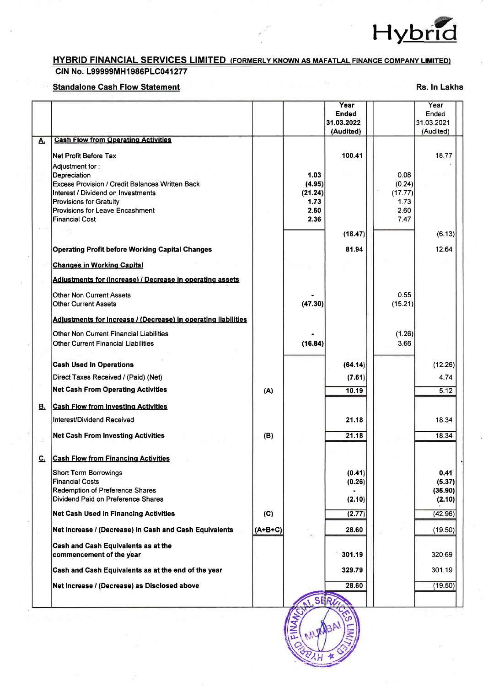

## **HYBRID FINANCIAL SERVICES LIMITED (FORMERLY KNOWN AS MAFATLAL FINANCE COMPANY LIMITED)** CIN No. L99999MH1986PLC041277

## **Standalone Cash Flow Statement**

Rs. In Lakhs

|           |                                                                                                                                 |           |                           | Year<br><b>Ended</b><br>31.03.2022<br>(Audited) |                           | Year<br>Ended<br>31.03.2021<br>(Audited) |
|-----------|---------------------------------------------------------------------------------------------------------------------------------|-----------|---------------------------|-------------------------------------------------|---------------------------|------------------------------------------|
| <u>A.</u> | <b>Cash Flow from Operating Activities</b>                                                                                      |           |                           |                                                 |                           |                                          |
|           | Net Profit Before Tax<br>Adjustment for :<br>Depreciation                                                                       |           | 1.03                      | 100.41                                          | 0.08                      | 18.77                                    |
|           | <b>Excess Provision / Credit Balances Written Back</b><br>Interest / Dividend on Investments<br><b>Provisions for Gratuity</b>  |           | (4.95)<br>(21.24)<br>1.73 |                                                 | (0.24)<br>(17.77)<br>1.73 |                                          |
|           | Provisions for Leave Encashment<br><b>Financial Cost</b>                                                                        |           | 2.60<br>2.36              |                                                 | 2.60<br>7.47              |                                          |
|           |                                                                                                                                 |           |                           | (18.47)                                         |                           | (6.13)                                   |
|           | <b>Operating Profit before Working Capital Changes</b>                                                                          |           |                           | 81.94                                           |                           | 12.64                                    |
|           | <b>Changes in Working Capital</b>                                                                                               |           |                           |                                                 |                           |                                          |
|           | <b>Adjustments for (Increase) / Decrease in operating assets</b>                                                                |           |                           |                                                 |                           |                                          |
|           | <b>Other Non Current Assets</b><br><b>Other Current Assets</b>                                                                  |           | (47.30)                   |                                                 | 0.55<br>(15.21)           |                                          |
|           | Adjustments for Increase / (Decrease) in operating liabilities                                                                  |           |                           |                                                 |                           |                                          |
|           | <b>Other Non Current Financial Liabilities</b><br>Other Current Financial Liabilities                                           |           | (16.84)                   |                                                 | (1.26)<br>3.66            |                                          |
|           | <b>Cash Used In Operations</b>                                                                                                  |           |                           | (64.14)                                         |                           | (12.26)                                  |
|           | Direct Taxes Received / (Paid) (Net)                                                                                            |           |                           | (7.61)                                          |                           | 4.74                                     |
|           | <b>Net Cash From Operating Activities</b>                                                                                       | (A)       |                           | 10.19                                           |                           | 5.12                                     |
| B.        | <b>Cash Flow from Investing Activities</b>                                                                                      |           |                           |                                                 |                           |                                          |
|           | Interest/Dividend Received                                                                                                      |           |                           | 21.18                                           |                           | 18.34                                    |
|           | <b>Net Cash From Investing Activities</b>                                                                                       | (B)       |                           | 21.18                                           |                           | 18.34                                    |
| <u>c.</u> | <b>Cash Flow from Financing Activities</b>                                                                                      |           |                           |                                                 |                           |                                          |
|           | <b>Short Term Borrowings</b><br><b>Financial Costs</b><br>Redemption of Preference Shares<br>Dividend Paid on Preference Shares |           |                           | (0.41)<br>(0.26)                                |                           | 0.41<br>(5.37)<br>(35.90)                |
|           | <b>Net Cash Used In Financing Activities</b>                                                                                    | (C)       |                           | (2.10)<br>(2.77)                                |                           | (2.10)<br>(42.96)                        |
|           | Net Increase / (Decrease) in Cash and Cash Equivalents                                                                          | $(A+B+C)$ |                           | 28.60                                           |                           | (19.50)                                  |
|           | Cash and Cash Equivalents as at the                                                                                             |           |                           |                                                 |                           |                                          |
|           | commencement of the year                                                                                                        |           |                           | 301.19                                          |                           | 320.69                                   |
|           | Cash and Cash Equivalents as at the end of the year                                                                             |           |                           | 329.79                                          |                           | 301.19                                   |
|           | Net Increase / (Decrease) as Disclosed above                                                                                    |           | S                         | 28.60                                           |                           | (19.50)                                  |

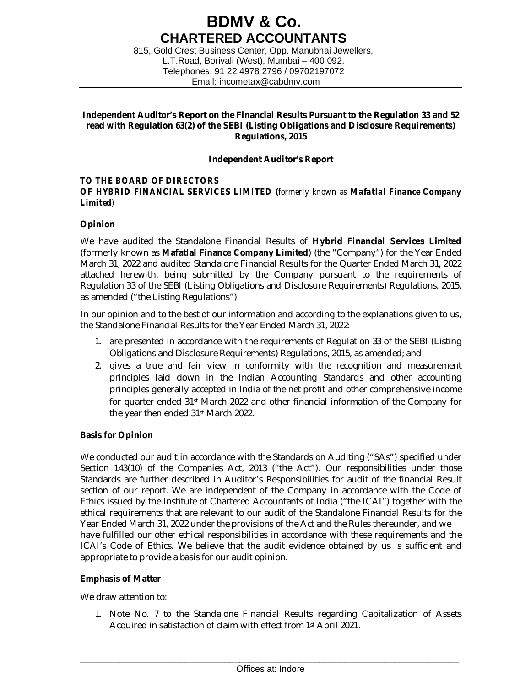## **BDMV & Co. CHARTERED ACCOUNTANTS**

815, Gold Crest Business Center, Opp. Manubhai Jewellers, L.T.Road, Borivali (West), Mumbai – 400 092. Telephones: 91 22 4978 2796 / 09702197072 Email: [incometax@cabdmv.com](mailto:incometax@cabdmv.com)

## **Independent Auditor's Report on the Financial Results Pursuant to the Regulation 33 and 52 read with Regulation 63(2) of the SEBI (Listing Obligations and Disclosure Requirements) Regulations, 2015**

## **Independent Auditor's Report**

### *TO THE BOARD OF DIRECTORS OF HYBRID FINANCIAL SERVICES LIMITED (formerly known as Mafatlal Finance Company Limited)*

## **Opinion**

We have audited the Standalone Financial Results of **Hybrid Financial Services Limited**  (formerly known as **Mafatlal Finance Company Limited**) (the "Company") for the Year Ended March 31, 2022 and audited Standalone Financial Results for the Quarter Ended March 31, 2022 attached herewith, being submitted by the Company pursuant to the requirements of Regulation 33 of the SEBI (Listing Obligations and Disclosure Requirements) Regulations, 2015, as amended ("the Listing Regulations").

In our opinion and to the best of our information and according to the explanations given to us, the Standalone Financial Results for the Year Ended March 31, 2022:

- 1. are presented in accordance with the requirements of Regulation 33 of the SEBI (Listing Obligations and Disclosure Requirements) Regulations, 2015, as amended; and
- 2. gives a true and fair view in conformity with the recognition and measurement principles laid down in the Indian Accounting Standards and other accounting principles generally accepted in India of the net profit and other comprehensive income for quarter ended 31st March 2022 and other financial information of the Company for the year then ended 31st March 2022.

## **Basis for Opinion**

We conducted our audit in accordance with the Standards on Auditing ("SAs") specified under Section 143(10) of the Companies Act, 2013 ("the Act"). Our responsibilities under those Standards are further described in Auditor's Responsibilities for audit of the financial Result section of our report. We are independent of the Company in accordance with the Code of Ethics issued by the Institute of Chartered Accountants of India ("the ICAI") together with the ethical requirements that are relevant to our audit of the Standalone Financial Results for the Year Ended March 31, 2022 under the provisions of the Act and the Rules thereunder, and we have fulfilled our other ethical responsibilities in accordance with these requirements and the ICAI's Code of Ethics. We believe that the audit evidence obtained by us is sufficient and appropriate to provide a basis for our audit opinion.

## **Emphasis of Matter**

We draw attention to:

1. Note No. 7 to the Standalone Financial Results regarding Capitalization of Assets Acquired in satisfaction of claim with effect from 1st April 2021.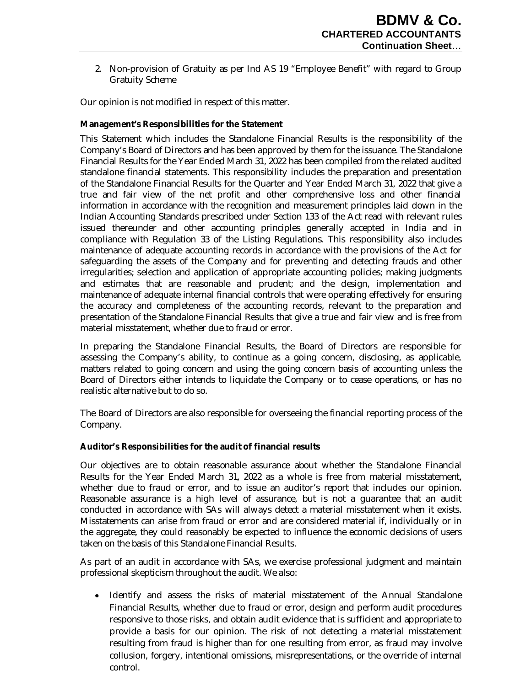2. Non-provision of Gratuity as per Ind AS 19 "Employee Benefit" with regard to Group Gratuity Scheme

Our opinion is not modified in respect of this matter.

## **Management's Responsibilities for the Statement**

This Statement which includes the Standalone Financial Results is the responsibility of the Company's Board of Directors and has been approved by them for the issuance. The Standalone Financial Results for the Year Ended March 31, 2022 has been compiled from the related audited standalone financial statements. This responsibility includes the preparation and presentation of the Standalone Financial Results for the Quarter and Year Ended March 31, 2022 that give a true and fair view of the net profit and other comprehensive loss and other financial information in accordance with the recognition and measurement principles laid down in the Indian Accounting Standards prescribed under Section 133 of the Act read with relevant rules issued thereunder and other accounting principles generally accepted in India and in compliance with Regulation 33 of the Listing Regulations. This responsibility also includes maintenance of adequate accounting records in accordance with the provisions of the Act for safeguarding the assets of the Company and for preventing and detecting frauds and other irregularities; selection and application of appropriate accounting policies; making judgments and estimates that are reasonable and prudent; and the design, implementation and maintenance of adequate internal financial controls that were operating effectively for ensuring the accuracy and completeness of the accounting records, relevant to the preparation and presentation of the Standalone Financial Results that give a true and fair view and is free from material misstatement, whether due to fraud or error.

In preparing the Standalone Financial Results, the Board of Directors are responsible for assessing the Company's ability, to continue as a going concern, disclosing, as applicable, matters related to going concern and using the going concern basis of accounting unless the Board of Directors either intends to liquidate the Company or to cease operations, or has no realistic alternative but to do so.

The Board of Directors are also responsible for overseeing the financial reporting process of the Company.

## **Auditor's Responsibilities for the audit of financial results**

Our objectives are to obtain reasonable assurance about whether the Standalone Financial Results for the Year Ended March 31, 2022 as a whole is free from material misstatement, whether due to fraud or error, and to issue an auditor's report that includes our opinion. Reasonable assurance is a high level of assurance, but is not a guarantee that an audit conducted in accordance with SAs will always detect a material misstatement when it exists. Misstatements can arise from fraud or error and are considered material if, individually or in the aggregate, they could reasonably be expected to influence the economic decisions of users taken on the basis of this Standalone Financial Results.

As part of an audit in accordance with SAs, we exercise professional judgment and maintain professional skepticism throughout the audit. We also:

• Identify and assess the risks of material misstatement of the Annual Standalone Financial Results, whether due to fraud or error, design and perform audit procedures responsive to those risks, and obtain audit evidence that is sufficient and appropriate to provide a basis for our opinion. The risk of not detecting a material misstatement resulting from fraud is higher than for one resulting from error, as fraud may involve collusion, forgery, intentional omissions, misrepresentations, or the override of internal control.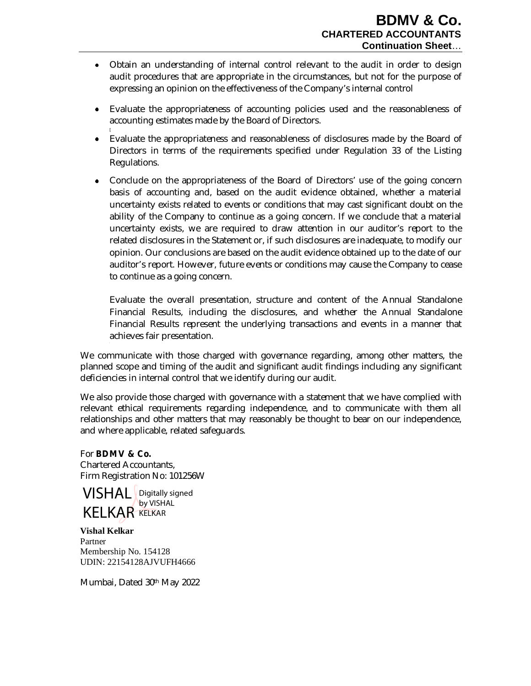- Obtain an understanding of internal control relevant to the audit in order to design audit procedures that are appropriate in the circumstances, but not for the purpose of expressing an opinion on the effectiveness of the Company's internal control
- Evaluate the appropriateness of accounting policies used and the reasonableness of accounting estimates made by the Board of Directors.
- Evaluate the appropriateness and reasonableness of disclosures made by the Board of Directors in terms of the requirements specified under Regulation 33 of the Listing Regulations.
- Conclude on the appropriateness of the Board of Directors' use of the going concern basis of accounting and, based on the audit evidence obtained, whether a material uncertainty exists related to events or conditions that may cast significant doubt on the ability of the Company to continue as a going concern. If we conclude that a material uncertainty exists, we are required to draw attention in our auditor's report to the related disclosures in the Statement or, if such disclosures are inadequate, to modify our opinion. Our conclusions are based on the audit evidence obtained up to the date of our auditor's report. However, future events or conditions may cause the Company to cease to continue as a going concern.

Evaluate the overall presentation, structure and content of the Annual Standalone Financial Results, including the disclosures, and whether the Annual Standalone Financial Results represent the underlying transactions and events in a manner that achieves fair presentation.

We communicate with those charged with governance regarding, among other matters, the planned scope and timing of the audit and significant audit findings including any significant deficiencies in internal control that we identify during our audit.

We also provide those charged with governance with a statement that we have complied with relevant ethical requirements regarding independence, and to communicate with them all relationships and other matters that may reasonably be thought to bear on our independence, and where applicable, related safeguards.

For **BDMV & Co.** Chartered Accountants, Firm Registration No: 101256W

**VISHAL** Digitally signed **KELKAR** KELKAR by VISHAL

**Vishal Kelkar** Partner Membership No. 154128 UDIN: 22154128AJVUFH4666

Mumbai, Dated 30th May 2022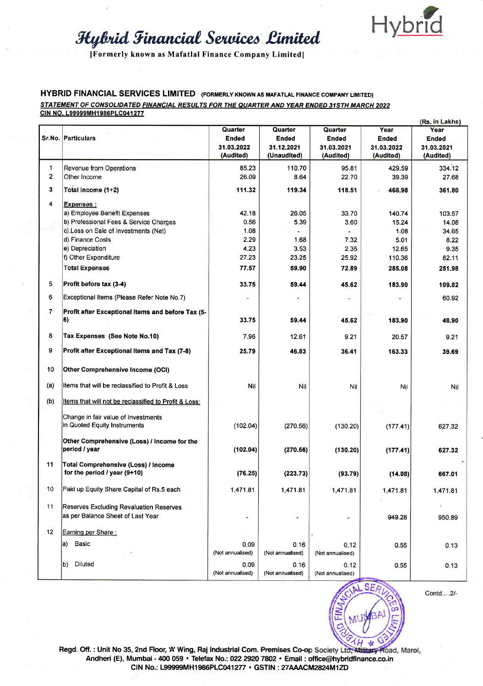

[Formerly known as Mafatlal Finance Company Limited]

### **HYBRID FINANCIAL SERVICES LIMITED** (FORMERLY KNOWN AS MAFATLAL FINANCE COMPANY LIMITED) STATEMENT OF CONSOLIDATED FINANCIAL RESULTS FOR THE QUARTER AND YEAR ENDED 31STH MARCH 2022 CIN NO. L99999MH1986PLC041277

|     | Sr.No. Particulars                                                           | Quarter<br>Ended<br>31.03.2022<br>(Audited) | Quarter<br>Ended<br>31.12.2021<br>(Unaudited) | Quarter<br>Ended<br>31.03.2021<br>(Audited) | Year<br>Ended<br>31.03.2022<br>(Audited) | (Rs. in Lakhs)<br>Year<br>Ended<br>31.03.2021<br>(Audited) |
|-----|------------------------------------------------------------------------------|---------------------------------------------|-----------------------------------------------|---------------------------------------------|------------------------------------------|------------------------------------------------------------|
| 1   | Revenue from Operations                                                      | 85.23                                       | 110.70                                        | 95.81                                       | 429.59                                   | 334.12                                                     |
| 2   | Other Income                                                                 | 26.09                                       | 8.64                                          | 22.70                                       | 39.39                                    | 27.68                                                      |
| 3   | Total Income (1+2)                                                           | 111.32                                      | 119.34                                        | 118.51                                      | 468.98                                   | 361.80                                                     |
| 4   | <b>Expenses:</b>                                                             |                                             |                                               |                                             |                                          |                                                            |
|     | a) Employee Benefit Expenses                                                 | 42.18                                       | 26.05                                         | 33.70                                       | 140.74                                   | 103.57                                                     |
|     | b) Professional Fees & Service Charges                                       | 0.56                                        | 5.39                                          | 3.60                                        | 15.24                                    | 14.08                                                      |
|     | c).Loss on Sale of Investments (Net)                                         | 1.08                                        |                                               |                                             | 1.08                                     | 34.65                                                      |
|     | d) Finance Costs                                                             | 2.29                                        | 1.68                                          | 7.32                                        | 5.01                                     | 8.22                                                       |
|     | e) Depreciation                                                              | 4.23                                        | 3.53                                          | 2.35                                        | 12.65                                    | 9.35                                                       |
|     | f) Other Expenditure                                                         | 27.23                                       | 23.25                                         | 25.92                                       | 110.36                                   | 82.11                                                      |
|     | <b>Total Expenses</b>                                                        | 77.57                                       | 59.90                                         | 72.89                                       | 285.08                                   | 251.98                                                     |
| 5   | Profit before tax (3-4)                                                      | 33.75                                       | 59.44                                         | 45.62                                       | 183.90                                   | 109.82                                                     |
| 6   | Exceptional Items (Please Refer Note No.7)                                   |                                             |                                               |                                             |                                          | 60.92                                                      |
| 7   | Profit after Exceptional Items and before Tax (5-<br>6)                      | 33.75                                       | 59.44                                         | 45.62                                       | 183.90                                   | 48.90                                                      |
| 8   | Tax Expenses (See Note No.10)                                                | 7.96                                        | 12.61                                         | 9.21                                        | 20.57                                    | 9.21                                                       |
| 9   | Profit after Exceptional Items and Tax (7-8)                                 | 25.79                                       | 46.83                                         | 36.41                                       | 163.33                                   | 39.69                                                      |
| 10  | Other Comprehensive Income (OCI)                                             |                                             |                                               |                                             |                                          |                                                            |
| (a) | Items that will be reclassified to Profit & Loss                             | Nil                                         | Nil                                           | Nil                                         | Nil                                      | Nil                                                        |
| (b) | Items that will not be reclassified to Profit & Loss:                        |                                             |                                               |                                             |                                          |                                                            |
|     | Change in fair value of Investments<br>in Quoted Equity Instruments          | (102.04)                                    | (270.56)                                      | (130.20)                                    | (177.41)                                 | 627.32                                                     |
|     | Other Comprehensive (Loss) / Income for the<br>period / year                 | (102.04)                                    | (270.56)                                      | (130.20)                                    | (177.41)                                 | 627.32                                                     |
| 11  | Total Comprehensive (Loss) / Income<br>for the period / year (9+10)          | (76.25)                                     | (223.73)                                      | (93.79)                                     | (14.08)                                  | 667.01                                                     |
| 10  | Paid up Equity Share Capital of Rs.5 each                                    | 1,471.81                                    | 1,471.81                                      | 1,471.81                                    | 1,471.81                                 | 1,471.81                                                   |
| 11  | Reserves Excluding Revaluation Reserves<br>as per Balance Sheet of Last Year | ż                                           | $\overline{\phantom{a}}$                      | ۳                                           | 949.28                                   | 950.89                                                     |
| 12  | Earning per Share:                                                           |                                             |                                               |                                             |                                          |                                                            |
|     | a) Basic                                                                     | 0.09                                        | 0.16                                          | 0.12                                        | 0.55                                     | 0.13                                                       |
|     |                                                                              | (Not annualised)                            | (Not annualised)                              | (Not annualised)                            |                                          |                                                            |
|     | b)<br>Diluted                                                                | 0.09<br>(Not annualised)                    | 0.16<br>(Not annualised)                      | 0.12<br>(Not annualised)                    | 0.55                                     | 0.13                                                       |



Contd....2/-

Regd. Off.: Unit No 35, 2nd Floor, 'A' Wing, Raj Industrial Com. Premises Co-op Society Ltd; Military Road, Marol, Andheri (E), Mumbai - 400 059 · Telefax No.: 022 2920 7802 · Email : office@hybridfinance.co.in CIN No.: L99999MH1986PLC041277 · GSTIN : 27AAACM2824M1ZD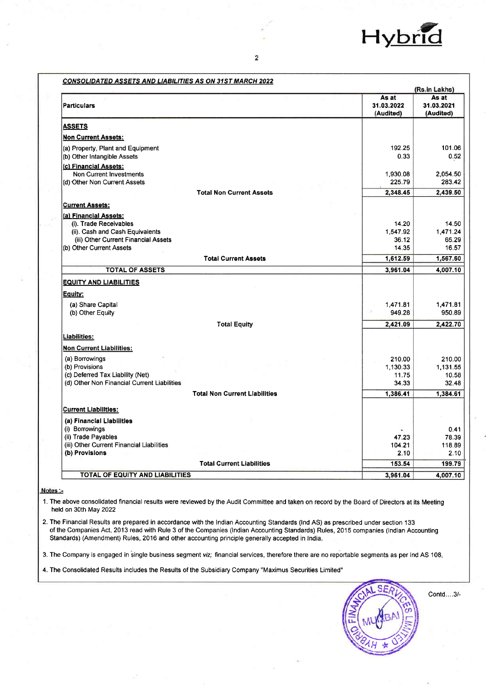

|                                                                  |                                  | (Rs.in Lakhs)                    |
|------------------------------------------------------------------|----------------------------------|----------------------------------|
| <b>Particulars</b>                                               | As at<br>31.03.2022<br>(Audited) | As at<br>31.03.2021<br>(Audited) |
| <b>ASSETS</b>                                                    |                                  |                                  |
| <b>Non Current Assets:</b>                                       |                                  |                                  |
| (a) Property, Plant and Equipment<br>(b) Other Intangible Assets | 192.25<br>0.33                   | 101.06<br>0.52                   |
| (c) Financial Assets:<br><b>Non Current Investments</b>          | 1,930.08                         | 2,054.50                         |
| (d) Other Non Current Assets<br><b>Total Non Current Assets</b>  | 225.79<br>2,348.45               | 283.42<br>2,439.50               |
|                                                                  |                                  |                                  |
| <b>Current Assets:</b><br>(a) Financial Assets:                  |                                  |                                  |
| (i). Trade Receivables                                           | 14.20                            | 14.50                            |
| (ii). Cash and Cash Equivalents                                  | 1,547.92                         | 1,471.24                         |
| (iii) Other Current Financial Assets                             | 36.12                            | 65.29                            |
| (b) Other Current Assets                                         | 14.35                            | 16.57                            |
| <b>Total Current Assets</b>                                      | 1,612.59                         | 1,567.60                         |
| <b>TOTAL OF ASSETS</b>                                           | 3,961.04                         | 4,007.10                         |
| <b>EQUITY AND LIABILITIES</b>                                    |                                  |                                  |
| Equity:                                                          |                                  |                                  |
| (a) Share Capital                                                | 1,471.81                         | 1,471.81                         |
| (b) Other Equity                                                 | 949.28                           | 950.89                           |
| <b>Total Equity</b>                                              | 2,421.09                         | 2,422.70                         |
| Liabilities:                                                     |                                  |                                  |
| <b>Non Current Liabilities:</b>                                  |                                  |                                  |
| (a) Borrowings                                                   | 210.00                           | 210.00                           |
| (b) Provisions                                                   | 1.130.33                         | 1,131.55                         |
| (c) Deferred Tax Liability (Net)                                 | 11.75                            | 10.58                            |
| (d) Other Non Financial Current Liabilities                      | 34.33                            | 32.48                            |
| <b>Total Non Current Liabilities</b>                             | 1,386.41                         | 1,384.61                         |
|                                                                  |                                  |                                  |
| <b>Current Liabilities:</b>                                      |                                  |                                  |
| (a) Financial Liabilities                                        |                                  |                                  |
| (i) Borrowings                                                   |                                  | 0.41                             |
| (ii) Trade Payables<br>(iii) Other Current Financial Liabilities | 47.23<br>104.21                  | 78.39<br>118.89                  |
| (b) Provisions                                                   | 2.10                             | 2.10                             |
| <b>Total Current Liabilities</b>                                 | 153.54                           | 199.79                           |
| TOTAL OF EQUITY AND LIABILITIES                                  | 3,961.04                         | 4,007.10                         |

#### Notes :-

1. The above consolidated financial results were reviewed by the Audit Committee and taken on record by the Board of Directors at its Meeting held on 30th May 2022

2. The Financial Results are prepared in accordance with the Indian Accounting Standards (Ind AS) as prescribed under section 133 of the Companies Act, 2013 read with Rule 3 of the Companies (Indian Accounting Standards) Rules, 2015 companies (Indian Accounting Standards) (Amendment) Rules, 2016 and other accounting principle generally accepted in India.

3. The Company is engaged in single business segment viz; financial services, therefore there are no reportable segments as per Ind AS 108.

4. The Consolidated Results includes the Results of the Subsidiary Company "Maximus Securities Limited"



Contd....3/-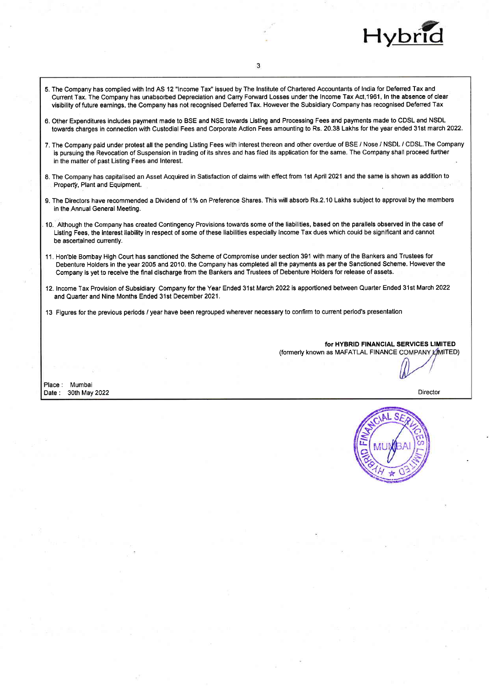

- 5. The Company has complied with lnd AS 12 "lncome Tax" issued by The lnstitute of Chartered Accountants of lndia for Defened Tax and Current Tax. The Company has unabsorbed Depreciation and Carry Forward Losses under the Income Tax Act,1961, In the absence of clear visibility of future earnings, the Company has not recognised Deferred Tax. However the Subsidiary Company has recognised Defened Tax
- 6. Other Expenditures includes payment made to BSE and NSE towards Listing and Processing Fees and payments made to CDSL and NSDL towards charges in connection with Custodial Fees and Corporate Action Fees amounting to Rs. 20.38 Lakhs for the year ended 31st march 2022.
- 7. The Company paid under protest all the pending Listing Fees with interest thereon and other overdue of BSE / Nose / NSDL / CDSL.The Company is pursuing the Revocation of Suspension in trading of its shres and has filed its application for the same. The Company shall proceed further in the matter of past Listing Fees and lnterest.
- 8, The Company has capitalised an Asset Acquired in Satisfaction of claims with effect from 1st April 2021 and the same is shown as addition to Property, Plant and Equipment.
- 9. The Directors have recommended a Dividend of 1% on Preference Shares. This will absorb Rs.2.10 Lakhs subject to approval by the members in the Annual General Meeting.
- , 10. Although the Company has created Contingency Provisions towards some of the liabilities, based on the parallels observed in the case of Listing Fees, the interest liability in respect of some of these liabilities especially lncome Tax dues which could be significant and cannot be ascertained currently.
- 11. Hon'ble Bombay High Court has sanctibned the Scheme of Compromise under section 391 with many of the Bankers and Trustees for Debenture Holders in the year 2005 and 2010. the Company has completed all the payments as per the Sanctioned Scheme. However the Company is yet to receive the final discharge from the Bankers and Trustees of Debenture Holders for release of assets.
- 12. lncome Tax Provision of Subsidiary Company for the Year Ended 31st March 2022 is apportioned between Quarter Ended 3'lst March2022 and Quarter and Nine Months Ended 31st December 2021.
- <sup>1</sup>3 Figures for the previous periods / year have been regrouped wherever necessary to confirm to current period's presentation

for HYBRID FINANCIAL SERVICES LIMITED (formerly known as MAFATLAL FINANCE COMPANY LIMITED)

Place : Mumbai<br>Date : 30th May 2022 Date : 30th May 2022 Director

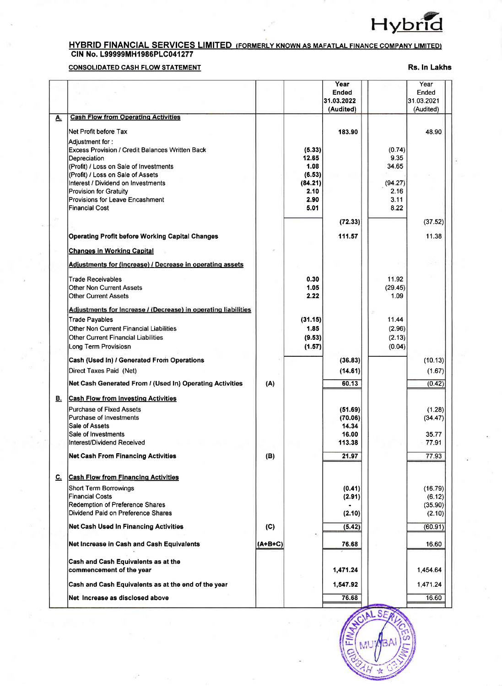

# <u>HYBRID FINANCIAL SERVICES LIMITED (FORMERLY KNOWN AS MAFATLAL FINANCE COMPANY LIMITED)</u><br>CIN No. L999999MH1986PLC041277

## **CONSOLIDATED CASH FLOW STATEMENT**

Rs. In Lakhs

|           |                                                                                                                                                                                                                                                                                                       |           |                                                                      | Year<br><b>Ended</b><br>31.03.2022<br>(Audited) |                                                            | Year<br>Ended<br>31.03.2021<br>(Audited) |
|-----------|-------------------------------------------------------------------------------------------------------------------------------------------------------------------------------------------------------------------------------------------------------------------------------------------------------|-----------|----------------------------------------------------------------------|-------------------------------------------------|------------------------------------------------------------|------------------------------------------|
| <u>A.</u> | <b>Cash Flow from Operating Activities</b>                                                                                                                                                                                                                                                            |           |                                                                      |                                                 |                                                            |                                          |
|           | Net Profit before Tax                                                                                                                                                                                                                                                                                 |           |                                                                      | 183.90                                          |                                                            | 48.90                                    |
|           | Adjustment for :<br><b>Excess Provision / Credit Balances Written Back</b><br>Depreciation<br>(Profit) / Loss on Sale of Investments<br>(Profit) / Loss on Sale of Assets<br>Interest / Dividend on Investments<br>Provision for Gratuity<br>Provisions for Leave Encashment<br><b>Financial Cost</b> |           | (5.33)<br>12.65<br>1.08<br>(6.53)<br>(84.21)<br>2.10<br>2.90<br>5.01 |                                                 | (0.74)<br>9.35<br>34.65<br>(94.27)<br>2.16<br>3.11<br>8.22 |                                          |
|           |                                                                                                                                                                                                                                                                                                       |           |                                                                      | (72.33)                                         |                                                            | (37.52)                                  |
|           |                                                                                                                                                                                                                                                                                                       |           |                                                                      | 111.57                                          |                                                            | 11.38                                    |
|           | <b>Operating Profit before Working Capital Changes</b>                                                                                                                                                                                                                                                |           |                                                                      |                                                 |                                                            |                                          |
|           | <b>Changes in Working Capital</b>                                                                                                                                                                                                                                                                     |           |                                                                      |                                                 |                                                            |                                          |
|           | Adjustments for (Increase) / Decrease in operating assets                                                                                                                                                                                                                                             |           |                                                                      |                                                 |                                                            |                                          |
|           | Trade Receivables<br>Other Non Current Assets<br>Other Current Assets                                                                                                                                                                                                                                 |           | 0.30<br>1.05<br>2.22                                                 |                                                 | 11.92<br>(29.45)<br>1.09                                   |                                          |
|           | Adjustments for Increase / (Decrease) in operating liabilities                                                                                                                                                                                                                                        |           |                                                                      |                                                 |                                                            |                                          |
|           | <b>Trade Payables</b>                                                                                                                                                                                                                                                                                 |           | (31.15)                                                              |                                                 | 11.44                                                      |                                          |
|           | Other Non Current Financial Liabilities<br>Other Current Financial Liabilities                                                                                                                                                                                                                        |           | 1.85<br>(9.53)                                                       |                                                 | (2.96)<br>(2.13)                                           |                                          |
|           | Long Term Provisiosn                                                                                                                                                                                                                                                                                  |           | (1.57)                                                               |                                                 | (0.04)                                                     |                                          |
|           | Cash (Used In) / Generated From Operations                                                                                                                                                                                                                                                            |           |                                                                      | (36.83)                                         |                                                            | (10.13)                                  |
|           | Direct Taxes Paid (Net)                                                                                                                                                                                                                                                                               |           |                                                                      | (14.61)                                         |                                                            | (1.67)                                   |
|           |                                                                                                                                                                                                                                                                                                       |           |                                                                      |                                                 |                                                            |                                          |
|           | Net Cash Generated From / (Used In) Operating Activities                                                                                                                                                                                                                                              | (A)       |                                                                      | 60.13                                           |                                                            | (0.42)                                   |
| <u>B.</u> | <b>Cash Flow from Investing Activities</b>                                                                                                                                                                                                                                                            |           |                                                                      |                                                 |                                                            |                                          |
|           | <b>Purchase of Fixed Assets</b>                                                                                                                                                                                                                                                                       |           |                                                                      | (51.69)                                         |                                                            | (1.28)                                   |
|           | Purchase of Investments<br>Sale of Assets                                                                                                                                                                                                                                                             |           |                                                                      | (70.06)<br>14.34                                |                                                            | (34.47)                                  |
|           | Sale of Investments                                                                                                                                                                                                                                                                                   |           |                                                                      | 16.00                                           |                                                            | 35.77                                    |
|           | Interest/Dividend Received                                                                                                                                                                                                                                                                            |           |                                                                      | 113.38                                          |                                                            | 77.91                                    |
|           | <b>Net Cash From Financing Activities</b>                                                                                                                                                                                                                                                             | (B)       |                                                                      | 21.97                                           |                                                            | 77.93                                    |
| <u>ር.</u> | <b>Cash Flow from Financing Activities</b>                                                                                                                                                                                                                                                            |           |                                                                      |                                                 |                                                            |                                          |
|           | Short Term Borrowings                                                                                                                                                                                                                                                                                 |           |                                                                      | (0.41)                                          |                                                            | (16.79)                                  |
|           | <b>Financial Costs</b>                                                                                                                                                                                                                                                                                |           |                                                                      | (2.91)                                          |                                                            | (6.12)                                   |
|           | Redemption of Preference Shares<br>Dividend Paid on Preference Shares                                                                                                                                                                                                                                 |           |                                                                      | (2.10)                                          |                                                            | (35.90)<br>(2.10)                        |
|           | Net Cash Used In Financing Activities                                                                                                                                                                                                                                                                 | (C)       |                                                                      | (5.42)                                          |                                                            | (60.91)                                  |
|           | Net Increase in Cash and Cash Equivalents                                                                                                                                                                                                                                                             | $(A+B+C)$ |                                                                      | 76.68                                           |                                                            | 16.60                                    |
|           | Cash and Cash Equivalents as at the                                                                                                                                                                                                                                                                   |           |                                                                      |                                                 |                                                            |                                          |
|           | commencement of the year                                                                                                                                                                                                                                                                              |           |                                                                      | 1,471.24                                        |                                                            | 1,454.64                                 |
|           | Cash and Cash Equivalents as at the end of the year                                                                                                                                                                                                                                                   |           |                                                                      | 1,547.92                                        |                                                            | 1,471.24                                 |
|           | Net Increase as disclosed above                                                                                                                                                                                                                                                                       |           |                                                                      | 76.68                                           |                                                            | 16.60                                    |

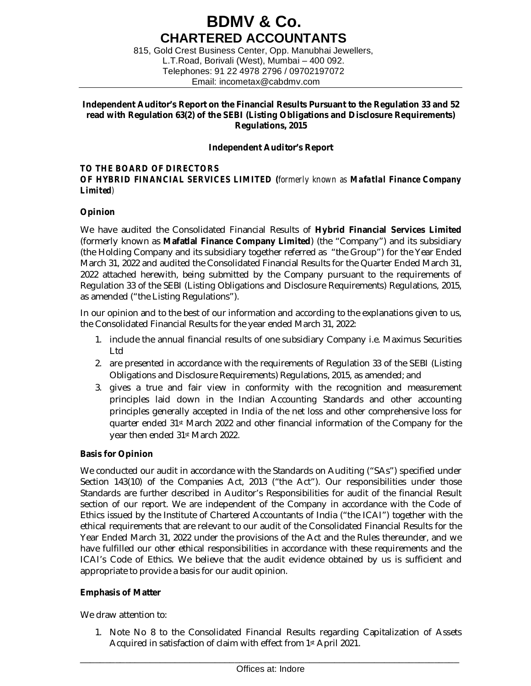## **BDMV & Co. CHARTERED ACCOUNTANTS**

815, Gold Crest Business Center, Opp. Manubhai Jewellers, L.T.Road, Borivali (West), Mumbai – 400 092. Telephones: 91 22 4978 2796 / 09702197072 Email: [incometax@cabdmv.com](mailto:incometax@cabdmv.com)

## **Independent Auditor's Report on the Financial Results Pursuant to the Regulation 33 and 52 read with Regulation 63(2) of the SEBI (Listing Obligations and Disclosure Requirements) Regulations, 2015**

## **Independent Auditor's Report**

## *TO THE BOARD OF DIRECTORS*

## *OF HYBRID FINANCIAL SERVICES LIMITED (formerly known as Mafatlal Finance Company Limited)*

## **Opinion**

We have audited the Consolidated Financial Results of **Hybrid Financial Services Limited**  (formerly known as **Mafatlal Finance Company Limited**) (the "Company") and its subsidiary (the Holding Company and its subsidiary together referred as "the Group") for the Year Ended March 31, 2022 and audited the Consolidated Financial Results for the Quarter Ended March 31, 2022 attached herewith, being submitted by the Company pursuant to the requirements of Regulation 33 of the SEBI (Listing Obligations and Disclosure Requirements) Regulations, 2015, as amended ("the Listing Regulations").

In our opinion and to the best of our information and according to the explanations given to us, the Consolidated Financial Results for the year ended March 31, 2022:

- 1. include the annual financial results of one subsidiary Company i.e. Maximus Securities Ltd
- 2. are presented in accordance with the requirements of Regulation 33 of the SEBI (Listing Obligations and Disclosure Requirements) Regulations, 2015, as amended; and
- 3. gives a true and fair view in conformity with the recognition and measurement principles laid down in the Indian Accounting Standards and other accounting principles generally accepted in India of the net loss and other comprehensive loss for quarter ended 31st March 2022 and other financial information of the Company for the year then ended 31st March 2022.

## **Basis for Opinion**

We conducted our audit in accordance with the Standards on Auditing ("SAs") specified under Section 143(10) of the Companies Act, 2013 ("the Act"). Our responsibilities under those Standards are further described in Auditor's Responsibilities for audit of the financial Result section of our report. We are independent of the Company in accordance with the Code of Ethics issued by the Institute of Chartered Accountants of India ("the ICAI") together with the ethical requirements that are relevant to our audit of the Consolidated Financial Results for the Year Ended March 31, 2022 under the provisions of the Act and the Rules thereunder, and we have fulfilled our other ethical responsibilities in accordance with these requirements and the ICAI's Code of Ethics. We believe that the audit evidence obtained by us is sufficient and appropriate to provide a basis for our audit opinion.

## **Emphasis of Matter**

We draw attention to:

1. Note No 8 to the Consolidated Financial Results regarding Capitalization of Assets Acquired in satisfaction of claim with effect from 1st April 2021.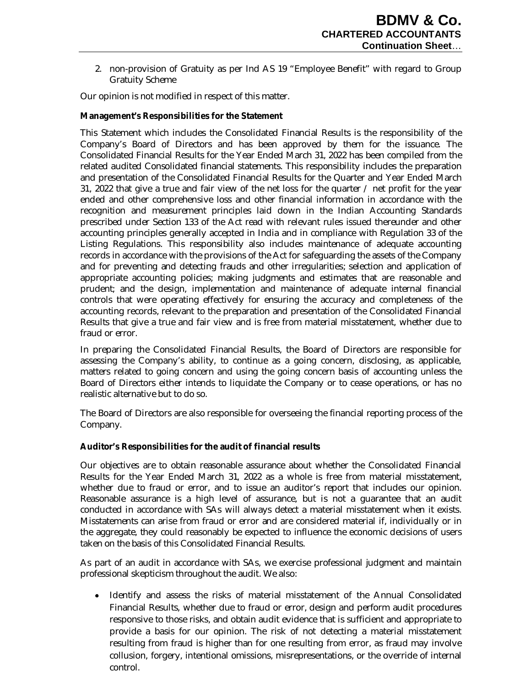2. non-provision of Gratuity as per Ind AS 19 "Employee Benefit" with regard to Group Gratuity Scheme

Our opinion is not modified in respect of this matter.

## **Management's Responsibilities for the Statement**

This Statement which includes the Consolidated Financial Results is the responsibility of the Company's Board of Directors and has been approved by them for the issuance. The Consolidated Financial Results for the Year Ended March 31, 2022 has been compiled from the related audited Consolidated financial statements. This responsibility includes the preparation and presentation of the Consolidated Financial Results for the Quarter and Year Ended March 31, 2022 that give a true and fair view of the net loss for the quarter / net profit for the year ended and other comprehensive loss and other financial information in accordance with the recognition and measurement principles laid down in the Indian Accounting Standards prescribed under Section 133 of the Act read with relevant rules issued thereunder and other accounting principles generally accepted in India and in compliance with Regulation 33 of the Listing Regulations. This responsibility also includes maintenance of adequate accounting records in accordance with the provisions of the Act for safeguarding the assets of the Company and for preventing and detecting frauds and other irregularities; selection and application of appropriate accounting policies; making judgments and estimates that are reasonable and prudent; and the design, implementation and maintenance of adequate internal financial controls that were operating effectively for ensuring the accuracy and completeness of the accounting records, relevant to the preparation and presentation of the Consolidated Financial Results that give a true and fair view and is free from material misstatement, whether due to fraud or error.

In preparing the Consolidated Financial Results, the Board of Directors are responsible for assessing the Company's ability, to continue as a going concern, disclosing, as applicable, matters related to going concern and using the going concern basis of accounting unless the Board of Directors either intends to liquidate the Company or to cease operations, or has no realistic alternative but to do so.

The Board of Directors are also responsible for overseeing the financial reporting process of the Company.

## **Auditor's Responsibilities for the audit of financial results**

Our objectives are to obtain reasonable assurance about whether the Consolidated Financial Results for the Year Ended March 31, 2022 as a whole is free from material misstatement, whether due to fraud or error, and to issue an auditor's report that includes our opinion. Reasonable assurance is a high level of assurance, but is not a guarantee that an audit conducted in accordance with SAs will always detect a material misstatement when it exists. Misstatements can arise from fraud or error and are considered material if, individually or in the aggregate, they could reasonably be expected to influence the economic decisions of users taken on the basis of this Consolidated Financial Results.

As part of an audit in accordance with SAs, we exercise professional judgment and maintain professional skepticism throughout the audit. We also:

Identify and assess the risks of material misstatement of the Annual Consolidated Financial Results, whether due to fraud or error, design and perform audit procedures responsive to those risks, and obtain audit evidence that is sufficient and appropriate to provide a basis for our opinion. The risk of not detecting a material misstatement resulting from fraud is higher than for one resulting from error, as fraud may involve collusion, forgery, intentional omissions, misrepresentations, or the override of internal control.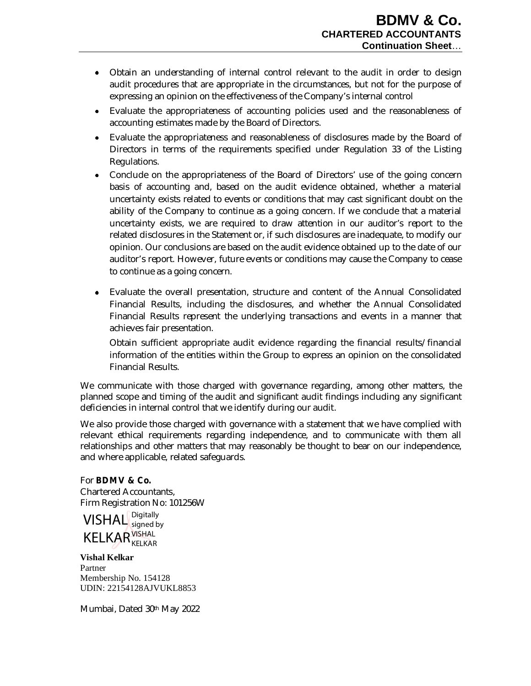- Obtain an understanding of internal control relevant to the audit in order to design audit procedures that are appropriate in the circumstances, but not for the purpose of expressing an opinion on the effectiveness of the Company's internal control
- Evaluate the appropriateness of accounting policies used and the reasonableness of accounting estimates made by the Board of Directors.
- Evaluate the appropriateness and reasonableness of disclosures made by the Board of Directors in terms of the requirements specified under Regulation 33 of the Listing Regulations.
- Conclude on the appropriateness of the Board of Directors' use of the going concern basis of accounting and, based on the audit evidence obtained, whether a material uncertainty exists related to events or conditions that may cast significant doubt on the ability of the Company to continue as a going concern. If we conclude that a material uncertainty exists, we are required to draw attention in our auditor's report to the related disclosures in the Statement or, if such disclosures are inadequate, to modify our opinion. Our conclusions are based on the audit evidence obtained up to the date of our auditor's report. However, future events or conditions may cause the Company to cease to continue as a going concern.
- Evaluate the overall presentation, structure and content of the Annual Consolidated Financial Results, including the disclosures, and whether the Annual Consolidated Financial Results represent the underlying transactions and events in a manner that achieves fair presentation.

Obtain sufficient appropriate audit evidence regarding the financial results/financial information of the entities within the Group to express an opinion on the consolidated Financial Results.

We communicate with those charged with governance regarding, among other matters, the planned scope and timing of the audit and significant audit findings including any significant deficiencies in internal control that we identify during our audit.

We also provide those charged with governance with a statement that we have complied with relevant ethical requirements regarding independence, and to communicate with them all relationships and other matters that may reasonably be thought to bear on our independence, and where applicable, related safeguards.

## For **BDMV & Co.**

Chartered Accountants, Firm Registration No: 101256W



**Vishal Kelkar** Partner Membership No. 154128 UDIN: 22154128AJVUKL8853

Mumbai, Dated 30th May 2022